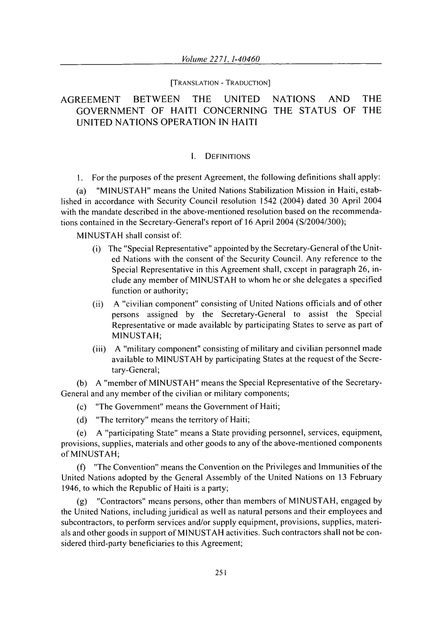#### [TRANSLATION - TRADUCTION]

# AGREEMENT BETWEEN THE UNITED NATIONS AND THE GOVERNMENT OF HAITI CONCERNING THE STATUS OF THE UNITED NATIONS OPERATION IN HAITI

#### **1.** DEFINITIONS

**1.** For the purposes of the present Agreement, the following definitions shall apply:

(a) "MINUSTAH" means the United Nations Stabilization Mission in Haiti, established in accordance with Security Council resolution 1542 (2004) dated 30 April 2004 with the mandate described in the above-mentioned resolution based on the recommendations contained in the Secretary-General's report of 16 April 2004 (S/2004/300);

MINUSTAH shall consist of:

- (i) The "Special Representative" appointed by the Secretary-General of the United Nations with the consent of the Security Council. Any reference to the Special Representative in this Agreement shall, except in paragraph 26, include any member of MINUSTAH to whom he or she delegates a specified function or authority;
- (ii) A "civilian component" consisting of United Nations officials and of other persons assigned by the Secretary-General to assist the Special Representative or made available by participating States to serve as part of MINUSTAH;
- (iii) A "military component" consisting of military and civilian personnel made available to MINUSTAH by participating States at the request of the Secretary-General;

(b) A "member of MINUSTAH" means the Special Representative of the Secretary-General and any member of the civilian or military components;

- (c) "The Government" means the Government of Haiti;
- (d) "The territory" means the territory of Haiti;

(e) A "participating State" means a State providing personnel, services, equipment, provisions, supplies, materials and other goods to any of the above-mentioned components of MINUSTAH;

(f) "The Convention" means the Convention on the Privileges and Immunities of the United Nations adopted by the General Assembly of the United Nations on 13 February 1946, to which the Republic of Haiti is a party;

(g) "Contractors" means persons, other than members of MINUSTAH, engaged by the United Nations, including juridical as well as natural persons and their employees and subcontractors, to perform services and/or supply equipment, provisions, supplies, materials and other goods in support of MINUSTAH activities. Such contractors shall not be considered third-party beneficiaries to this Agreement;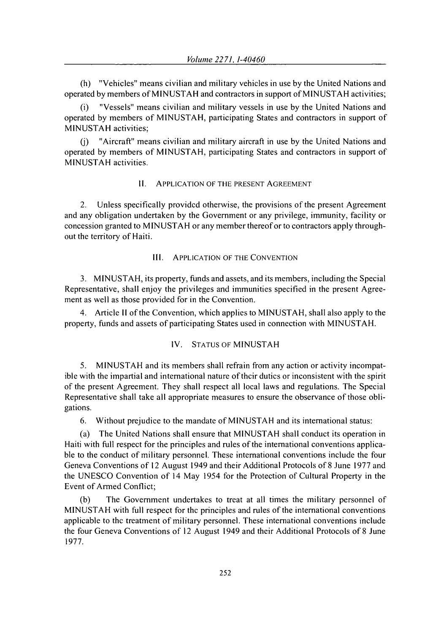(h) "Vehicles" means civilian and military vehicles in use by the United Nations and operated by members of MINUSTAH and contractors in support of MINUSTAH activities;

(i) "Vessels" means civilian and military vessels in use by the United Nations and operated by members of MINUSTAH, participating States and contractors in support of MINUSTAH activities;

(j) "Aircraft" means civilian and military aircraft in use by the United Nations and operated by members of MINUSTAH, participating States and contractors in support of MINUSTAH activities.

## **11.** APPLICATION OF THE PRESENT AGREEMENT

2. Unless specifically provided otherwise, the provisions of the present Agreement and any obligation undertaken by the Government or any privilege, immunity, facility or concession granted to MINUSTAH or any member thereof or to contractors apply throughout the territory of Haiti.

#### Ill. APPLICATION OF THE CONVENTION

3. MINUSTAH, its property, funds and assets, and its members, including the Special Representative, shall enjoy the privileges and immunities specified in the present Agreement as well as those provided for in the Convention.

4. Article II of the Convention, which applies to MINUSTAH, shall also apply to the property, funds and assets of participating States used in connection with MINUSTAH.

## IV. STATUS OF MINUSTAH

5. MINUSTAH and its members shall refrain from any action or activity incompatible with the impartial and international nature of their duties or inconsistent with the spirit of the present Agreement. They shall respect all local laws and regulations. The Special Representative shall take all appropriate measures to ensure the observance of those obligations.

6. Without prejudice to the mandate of MINUSTAH and its international status:

(a) The United Nations shall ensure that MINUSTAH shall conduct its operation in Haiti with full respect for the principles and rules of the international conventions applicable to the conduct of military personnel. These international conventions include the four Geneva Conventions of 12 August 1949 and their Additional Protocols of 8 June 1977 and the UNESCO Convention of 14 May 1954 for the Protection of Cultural Property in the Event of Armed Conflict;

(b) The Government undertakes to treat at all times the military personnel of MINUSTAH with full respect for the principles and rules of the international conventions applicable to the treatment of military personnel. These international conventions include the four Geneva Conventions of 12 August 1949 and their Additional Protocols of 8 June 1977.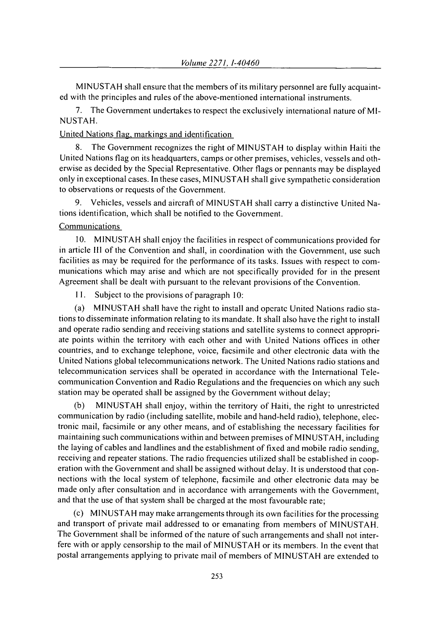MINUSTAH shall ensure that the members of its military personnel are fully acquainted with the principles and rules of the above-mentioned international instruments.

7. The Government undertakes to respect the exclusively international nature of Ml-NUSTAH.

United Nations flag, markings and identification

8. The Government recognizes the right of MINUSTAH to display within Haiti the United Nations flag on its headquarters, camps or other premises, vehicles, vessels and otherwise as decided by the Special Representative. Other flags or pennants may be displayed only in exceptional cases. In these cases, MINUSTAH shall give sympathetic consideration to observations or requests of the Government.

9. Vehicles, vessels and aircraft of MINUSTAH shall carry a distinctive United Nations identification, which shall be notified to the Government.

## Communications

**10.** MINUSTAH shall enjoy the facilities in respect of communications provided for in article **Ill** of the Convention and shall, in coordination with the Government, use such facilities as may be required for the performance of its tasks. Issues with respect to communications which may arise and which are not specifically provided for in the present Agreement shall be dealt with pursuant to the relevant provisions of the Convention.

11. Subject to the provisions of paragraph 10:

(a) MINUSTAH shall have the right to install and operatc United Nations radio stations to disseminate information relating to its mandate. It shall also have the right to install and operate radio sending and receiving stations and satellite systems to connect appropriate points within the territory with each other and with United Nations offices in other countries, and to exchange telephone, voice, facsimile and other electronic data with the United Nations global telecommunications network. The United Nations radio stations and telecommunication services shall be operated in accordance with the International Telecommunication Convention and Radio Regulations and the frequencies on which any such station may be operated shall be assigned by the Government without delay;

(b) MINUSTAH shall enjoy, within the territory of Haiti, the right to unrestricted communication by radio (including satellite, mobile and hand-held radio), telephone, electronic mail, facsimile or any other means, and of establishing the necessary facilities for maintaining such communications within and between premises of MINUSTAH, including the laying of cables and landlines and the establishment of fixed and mobile radio sending, receiving and repeater stations. The radio frequencies utilized shall be established in cooperation with the Government and shall be assigned without delay. It is understood that connections with the local system of telephone, facsimile and other electronic data may be made only after consultation and in accordance with arrangements with the Government, and that the use of that system shall be charged at the most favourable rate;

(c) MINUSTAH may make arrangements through its own facilities for the processing and transport of private mail addressed to or emanating from members of MINUSTAH. The Government shall be informed of the nature of such arrangements and shall not interfere with or apply censorship to the mail of MINUSTAH or its members. In the event that postal arrangements applying to private mail of members of MINUSTAH are extended to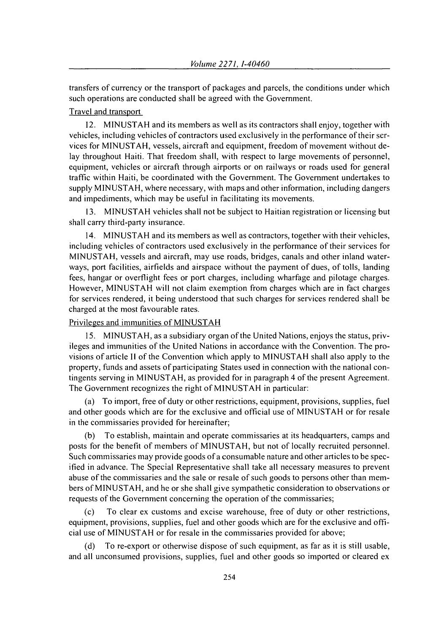transfers of currency or the transport of packages and parcels, the conditions under which such operations are conducted shall be agreed with the Government.

## Travel and transport

12. MINUSTAH and its members as well as its contractors shall enjoy, together with vehicles, including vehicles of contractors used exclusively in the performance of their services for MINUSTAH, vessels, aircraft and equipment, freedom of movement without delay throughout Haiti. That freedom shall, with respect to large movements of personnel, equipment, vehicles or aircraft through airports or on railways or roads used for general traffic within Haiti, be coordinated with the Government. The Government undertakes to supply MINUSTAH, where necessary, with maps and other information, including dangers and impediments, which may be useful in facilitating its movements.

13. MINUSTAH vehicles shall not be subject to Haitian registration or licensing but shall carry third-party insurance.

14. MINUSTAH and its members as well as contractors, together with their vehicles, including vehicles of contractors used exclusively in the performance of their services for MINUSTAH, vessels and aircraft, may use roads, bridges, canals and other inland waterways, port facilities, airfields and airspace without the payment of dues, of tolls, landing fees, hangar or overflight fees or port charges, including wharfage and pilotage charges. However, MINUSTAH will not claim exemption from charges which are in fact charges for services rendered, it being understood that such charges for services rendered shall be charged at the most favourable rates.

## Privileges and immunities of MINUSTAH

15. MINUSTAH, as a subsidiary organ of the United Nations, enjoys the status, privileges and immunities of the United Nations in accordance with the Convention. The provisions of article II of the Convention which apply to MINUSTAH shall also apply to the property, funds and assets of participating States used in connection with the national contingents serving in MINUSTAH, as provided for in paragraph 4 of the present Agreement. The Government recognizes the right of MINUSTAH in particular:

(a) To import, free of duty or other restrictions, equipment, provisions, supplies, fuel and other goods which are for the exclusive and official use of MINUSTAH or for resale in the commissaries provided for hereinafter;

(b) To establish, maintain and operate commissaries at its headquarters, camps and posts for the benefit of members of MINUSTAH, but not of locally recruited personnel. Such commissaries may provide goods of a consumable nature and other articles to be specified in advance. The Special Representative shall take all necessary measures to prevent abuse of the commissaries and the sale or resale of such goods to persons other than members of MINUSTAH, and he or she shall give sympathetic consideration to observations or requests of the Government concerning the operation of the commissaries;

(c) To clear ex customs and excise warehouse, free of duty or other restrictions, equipment, provisions, supplies, fuel and other goods which are for the exclusive and official use of MINUSTAH or for resale in the commissaries provided for above;

(d) To re-export or otherwise dispose of such equipment, as far as it is still usable, and all unconsumed provisions, supplies, fuel and other goods so imported or cleared ex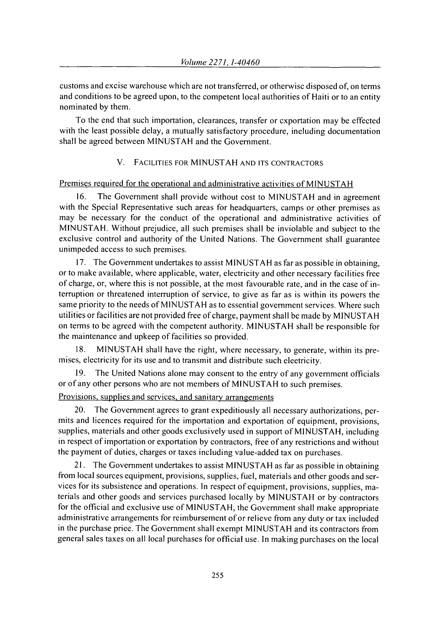customs and excise warehouse which are not transferred, or otherwise disposed of, on terms and conditions to be agreed upon, to the competent local authorities of Haiti or to an entity nominated by them.

To the end that such importation, clearances, transfer or exportation may be effected with the least possible delay, a mutually satisfactory procedure, including documentation shall be agreed between MINUSTAH and the Government.

## V. FACILITIES FOR MINUSTAH AND ITS CONTRACTORS

## Premises required for the operational and administrative activities of MINUSTAH

16. The Government shall provide without cost to MINUSTAH and in agreement with the Special Representative such areas for headquarters, camps or other premises as may be necessary for the conduct of the operational and administrative activities of MINUSTAH. Without prejudice, all such premises shall be inviolable and subject to the exclusive control and authority of the United Nations. The Government shall guarantee unimpeded access to such premises.

17. The Government undertakes to assist MINUSTAH as far as possible in obtaining, or to make available, where applicable, water, electricity and other necessary facilities free of charge, or, where this is not possible, at the most favourable rate, and in the case of interruption or threatened interruption of service, to give as far as is within its powers the same priority to the needs of MINUSTAH as to essential government services, Where such utilities or facilities are not provided free of charge, payment shall be made by MINUSTAH on terms to be agreed with the competent authority. MINUSTAH shall be responsible for the maintenance and upkeep of facilities so provided.

18. MINUSTAH shall have the right, where necessary, to generate, within its premises, electricity for its use and to transmit and distribute such electricity.

19. The United Nations alone may consent to the entry of any government officials or of any other persons who are not members of MINUSTAH to such premises.

## Provisions, supplies and services, and sanitary arrangements

20. The Government agrees to grant expeditiously all necessary authorizations, permits and licences required for the importation and exportation of equipment, provisions, supplies, materials and other goods exclusively used in support of MINUSTAH, including in respect of importation or exportation by contractors, free of any restrictions and without the payment of duties, charges or taxes including value-added tax on purchases.

21. The Government undertakes to assist MINUSTAH as far as possible in obtaining from local sources equipment, provisions, supplies, fuel, materials and other goods and services for its subsistence and operations. In respect of equipment, provisions, supplies, materials and other goods and services purchased locally by MINUSTAH or by contractors for the official and exclusive use of MINUSTAH, the Government shall make appropriate administrative arrangements for reimbursement of or relieve from any duty or tax included in the purchase price. The Government shall exempt MINUSTAH and its contractors from general sales taxes on all local purchases for official use. In making purchases on the local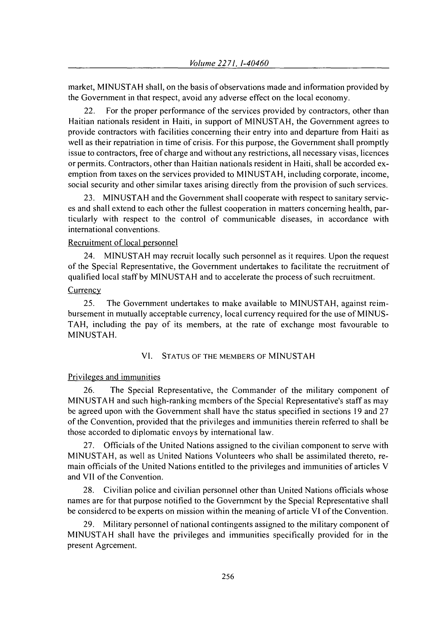market, MINUSTAH shall, on the basis of observations made and information provided by the Government in that respect, avoid any adverse effect on the local economy.

22. For the proper performance of the services provided by contractors, other than Haitian nationals resident in Haiti, in support of MINUSTAH, the Government agrees to provide contractors with facilities concerning their entry into and departure from Haiti as well as their repatriation in time of crisis. For this purpose, the Government shall promptly issue to contractors, free of charge and without any restrictions, all necessary visas, licences or permits. Contractors, other than Haitian nationals resident in Haiti, shall be accorded exemption from taxes on the services provided to MINUSTAH, including corporate, income, social security and other similar taxes arising directly from the provision of such services.

23. MINUSTAH and the Government shall cooperate with respect to sanitary services and shall extend to each other the fullest cooperation in matters concerning health, particularly with respect to the control of communicable diseases, in accordance with international conventions.

## Recruitment of local personnel

24. MINUSTAH may recruit locally such personnel as it requires. Upon the request of the Special Representative, the Government undertakes to facilitate the recruitment of qualified local staff by MINUSTAH and to accelerate the process of such recruitment.

# **Currency**

25. The Government undertakes to make available to MINUSTAH, against reimbursement in mutually acceptable currency, local currency required for the use of MINUS-TAH, including the pay of its members, at the rate of exchange most favourable to MINUSTAH.

## VI. STATUS OF THE MEMBERS OF MINUSTAH

#### Privileges and immunities

26. The Special Representative, the Commander of the military component of MINUSTAH and such high-ranking members of the Special Representative's staff as may be agreed upon with the Government shall have the status specified in sections 19 and 27 of the Convention, provided that the privileges and immunities therein referred to shall be those accorded to diplomatic envoys by international law.

27. Officials of the United Nations assigned to the civilian component to serve with MINUSTAH, as well as United Nations Volunteers who shall be assimilated thereto, remain officials of the United Nations entitled to the privileges and immunities of articles V and VII of the Convention.

28. Civilian police and civilian personnel other than United Nations officials whose names are for that purpose notified to the Government by the Special Representative shall be considered to be experts on mission within the meaning of article VI of the Convention.

29. Military personnel of national contingents assigned to the military component of MINUSTAH shall have the privileges and immunities specifically provided for in the present Agreement.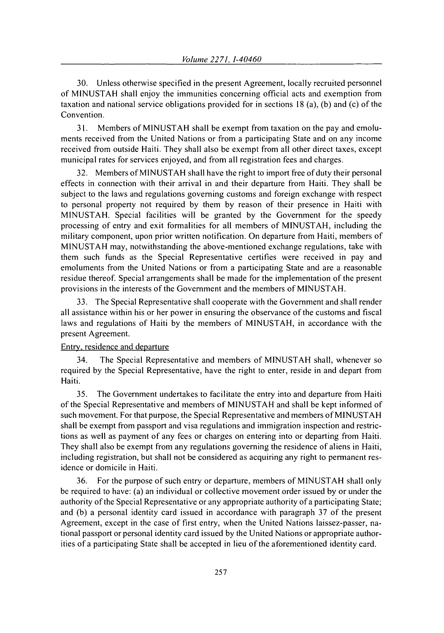30. Unless otherwise specified in the present Agreement, locally recruited personnel of MINUSTAH shall enjoy the immunities concerning official acts and exemption from taxation and national service obligations provided for in sections 18 (a), (b) and (c) of the Convention.

31. Members of MINUSTAH shall be exempt from taxation on the pay and emoluments received from the United Nations or from a participating State and on any income received from outside Haiti. They shall also be exempt from all other direct taxes, except municipal rates for services enjoyed, and from all registration fees and charges.

32. Members of MINUSTAH shall have the right to import free of duty their personal effects in connection with their arrival in and their departure from Haiti. They shall be subject to the laws and regulations governing customs and foreign exchange with respect to personal property not required by them by reason of their presence in Haiti with MINUSTAH. Special facilities will be granted by the Government for the speedy processing of entry and exit formalities for all members of MINUSTAH, including the military component, upon prior written notification. On departure from Haiti, members of MINUSTAH may, notwithstanding the above-mentioned exchange regulations, take with them such funds as the Special Representative certifies were received in pay and emoluments from the United Nations or from a participating State and are a reasonable residue thereof. Special arrangements shall be made for the implementation of the present provisions in the interests of the Government and the members of MINUSTAH.

33. The Special Representative shall cooperate with the Government and shall render all assistance within his or her power in ensuring the observance of the customs and fiscal laws and regulations of Haiti by the members of MINUSTAH, in accordance with the present Agreement.

## Entry, residence and departure

34. The Special Representative and members of M1NUSTAH shall, whenever so required by the Special Representative, have the right to enter, reside in and depart from Haiti.

35. The Government undertakes to facilitate the entry into and departure from Haiti of the Special Representative and members of MINUSTAH and shall be kept informed of such movement. For that purpose, the Special Representative and members of MINUSTAH shall be exempt from passport and visa regulations and immigration inspection and restrictions as well as payment of any fees or charges on entering into or departing from Haiti. They shall also be exempt from any regulations governing the residence of aliens in Haiti, including registration, but shall not be considered as acquiring any right to permanent residence or domicile in Haiti.

36. For the purpose of such entry or departure, members of MINUSTAH shall only be required to have: (a) an individual or collective movement order issued by or under the authority of the Special Representative or any appropriate authority of a participating State; and (b) a personal identity card issued in accordance with paragraph 37 of the present Agreement, except in the case of first entry, when the United Nations laissez-passer, national passport or personal identity card issued by the United Nations or appropriate authorities of a participating State shall be accepted in lieu of the aforementioned identity card.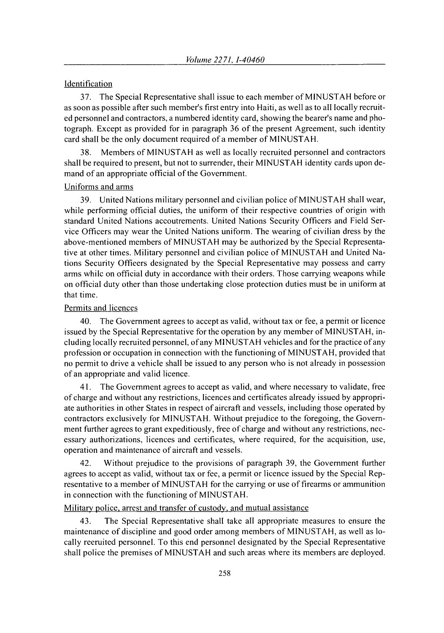## Identification

37. The Special Representative shall issue to each member of MINUSTAH before or as soon as possible after such member's first entry into Haiti, as well as to all locally recruited personnel and contractors, a numbered identity card, showing the bearer's name and photograph. Except as provided for in paragraph 36 of the present Agreement, such identity card shall be the only document required of a member of MINUSTAH.

38. Members of MINUSTAH as well as locally recruited personnel and contractors shall be required to present, but not to surrender, their MINUSTAH identity cards upon demand of an appropriate official of the Government.

## Uniforms and arms

39. United Nations military personnel and civilian police of MINUSTAH shall wear, while performing official duties, the uniform of their respective countries of origin with standard United Nations accoutrements. United Nations Security Officers and Field Service Officers may wear the United Nations uniform. The wearing of civilian dress by the above-mentioned members of MINUSTAH may be authorized by the Special Representative at other times. Military personnel and civilian police of MINUSTAH and United Nations Security Officers designated by the Special Representative may possess and carry arms while on official duty in accordance with their orders. Those carrying weapons while on official duty other than those undertaking close protection duties must be in uniform at that time.

## Permits and licences

40. The Government agrees to accept as valid, without tax or fee, a permit or licence issued by the Special Representative for the operation by any member of MINUSTAH, including locally recruited personnel, of any MINUSTAH vehicles and for the practice of any profession or occupation in connection with the functioning of MINUSTAH, provided that no permit to drive a vehicle shall be issued to any person who is not already in possession of an appropriate and valid licence.

41. The Government agrees to accept as valid, and where necessary to validate, free of charge and without any restrictions, licences and certificates already issued by appropriate authorities in other States in respect of aircraft and vessels, including those operated by contractors exclusively for MINUSTAH. Without prejudice to the foregoing, the Government further agrees to grant expeditiously, free of charge and without any restrictions, necessary authorizations, licences and certificates, where required, for the acquisition, use, operation and maintenance of aircraft and vessels.

42. Without prejudice to the provisions of paragraph 39, the Government further agrees to accept as valid, without tax or fee, a permit or licence issued by the Special Representative to a member of MINUSTAH for the carrying or use of firearms or ammunition in connection with the functioning of MINUSTAH.

## Military police, arrest and transfer of custody, and mutual assistance

43. The Special Representative shall take all appropriate measures to ensure the maintenance of discipline and good order among members of MINUSTAH, as well as locally recruited personnel. To this end personnel designated by the Special Representative shall police the premises of MINUSTAH and such areas where its members are deployed.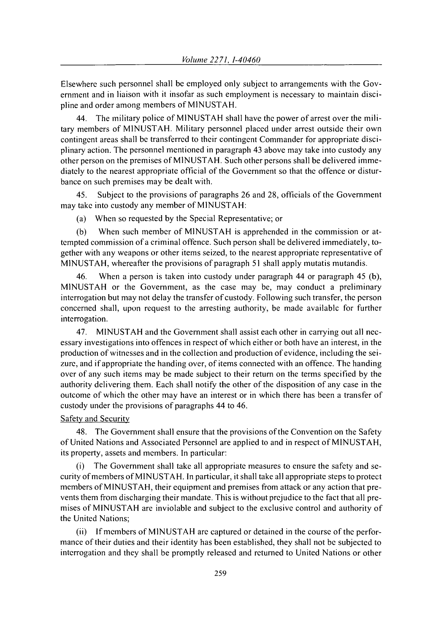Elsewhere such personnel shall be employed only subject to arrangements with the Government and in liaison with it insofar as such employment is necessary to maintain discipline and order among members of MINUSTAH.

44. The military police of MINUSTAH shall have the power of arrest over the military members of MINUSTAH. Military personnel placed under arrest outside their own contingent areas shall be transferred to their contingent Commander for appropriate disciplinary action. The personnel mentioned in paragraph 43 above may take into custody any other person on the premises of MINUSTAH. Such other persons shall be delivered immediately to the nearest appropriate official of the Government so that the offence or disturbance on such premises may be dealt with.

45. Subject to the provisions of paragraphs 26 and 28, officials of the Government may take into custody any member of MINUSTAH:

(a) When so requested by the Special Representative; or

(b) When such member of MINUSTAH is apprehended in the commission or attempted commission of a criminal offence. Such person shall be delivered immediately, together with any weapons or other items seized, to the nearest appropriate representative of MINUSTAH, whereafter the provisions of paragraph 51 shall apply mutatis mutandis.

46. When a person is taken into custody under paragraph 44 or paragraph 45 (b), MINUSTAH or the Government, as the case may be, may conduct a preliminary interrogation but may not delay the transfer of custody. Following such transfer, the person concerned shall, upon request to the arresting authority, be made available for further interrogation.

47. MINUSTAH and the Government shall assist each other in carrying out all necessary investigations into offences in respect of which either or both have an interest, in the production of witnesses and in the collection and production of evidence, including the seizure, and if appropriate the handing over, of items connected with an offence. The handing over of any such items may be made subject to their return on the terms specified by the authority delivering them. Each shall notify the other of the disposition of any case in the outcome of which the other may have an interest or in which there has been a transfer of custody under the provisions of paragraphs 44 to 46.

## Safety and Security

48. The Government shall ensure that the provisions of the Convention on the Safety of United Nations and Associated Personnel are applied to and in respect of MINUSTAH, its property, assets and members. In particular:

The Government shall take all appropriate measures to ensure the safety and security of members of MINUSTAH. In particular, it shall take all appropriate steps to protect members of MINUSTAH, their equipment and premises from attack or any action that prevents them from discharging their mandate. This is without prejudice to the fact that all premises of MINUSTAH are inviolable and subject to the exclusive control and authority of the United Nations;

(ii) If members of MINUSTAH are captured or detained in the course of the performance of their duties and their identity has been established, they shall not be subjected to interrogation and they shall be promptly released and returned to United Nations or other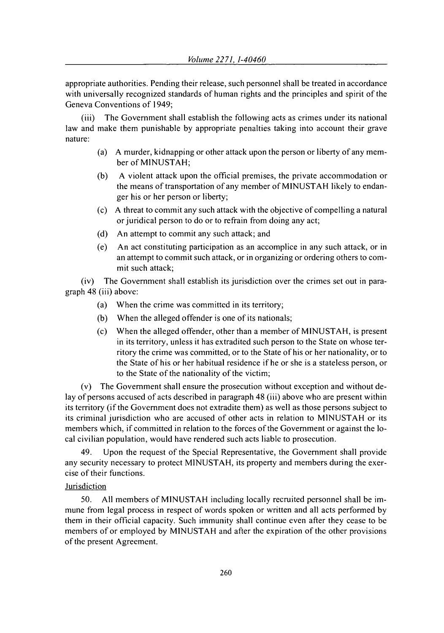appropriate authorities. Pending their release, such personnel shall be treated in accordance with universally recognized standards of human rights and the principles and spirit of the Geneva Conventions of 1949;

(iii) The Government shall establish the following acts as crimes under its national law and make them punishable by appropriate penalties taking into account their grave nature:

- (a) A murder, kidnapping or other attack upon the person or liberty of any member of MINUSTAH;
- (b) A violent attack upon the official premises, the private accommodation or the means of transportation of any member of MINUSTAH likely to endanger his or her person or liberty;
- (c) A threat to commit any such attack with the objective of compelling a natural or juridical person to do or to refrain from doing any act;
- (d) An attempt to commit any such attack; and
- (e) An act constituting participation as an accomplice in any such attack, or in an attempt to commit such attack, or in organizing or ordering others to commit such attack;

(iv) The Government shall establish its jurisdiction over the crimes set out in paragraph 48 (iii) above:

- (a) When the crime was committed in its territory;
- (b) When the alleged offender is one of its nationals;
- (c) When the alleged offender, other than a member of MINUSTAH, is present in its territory, unless it has extradited such person to the State on whose territory the crime was committed, or to the State of his or her nationality, or to the State of his or her habitual residence if he or she is a stateless person, or to the State of the nationality of the victim;

(v) The Government shall ensure the prosecution without exception and without delay of persons accused of acts described in paragraph 48 (iii) above who are present within its territory (if the Government does not extradite them) as well as those persons subject to its criminal jurisdiction who are accused of other acts in relation to MINUSTAH or its members which, if committed in relation to the forces of the Government or against the local civilian population, would have rendered such acts liable to prosecution.

Upon the request of the Special Representative, the Government shall provide any security necessary to protect MINUSTAH, its property and members during the exercise of their functions.

# Jurisdiction

50. All members of MINUSTAH including locally recruited personnel shall be immune from legal process in respect of words spoken or written and all acts performed by them in their official capacity. Such immunity shall continue even after they cease to be members of or employed by MINUSTAH and after the expiration of the other provisions of the present Agreement.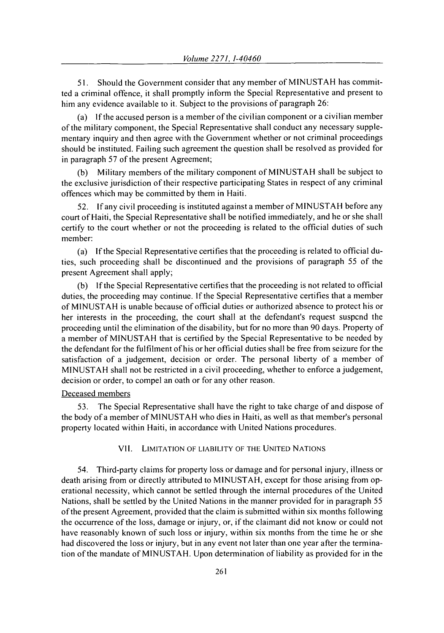51. Should the Government consider that any member of MINUSTAH has committed a criminal offence, it shall promptly inform the Special Representative and present to him any evidence available to it. Subject to the provisions of paragraph 26:

(a) **If** the accused person is a member of the civilian component or a civilian member of the military component, the Special Representative shall conduct any necessary supplementary inquiry and then agree with the Government whether or not criminal proceedings should be instituted. Failing such agreement the question shall be resolved as provided for in paragraph 57 of the present Agreement;

(b) Military members of the military component of MINUSTAH shall be subject to the exclusive jurisdiction of their respective participating States in respect of any criminal offences which may be committed by them in Haiti.

52. **If** any civil proceeding is instituted against a member of MINUSTAH before any court of Haiti, the Special Representative shall be notified immediately, and he or she shall certify to the court whether or not the proceeding is related to the official duties of such member:

(a) **If** the Special Representative certifies that the proceeding is related to official duties, such proceeding shall be discontinued and the provisions of paragraph 55 of the present Agreement shall apply;

(b) If the Special Representative certifies that the proceeding is not related to official duties, the proceeding may continue. If the Special Representative certifies that a member of MINUSTAH is unable because of official duties or authorized absence to protect his or her interests in the proceeding, the court shall at the defendant's request suspend the proceeding until the elimination of the disability, but for no more than 90 days. Property of a member of MINUSTAH that is certified by the Special Representative to be needed by the defendant for the fulfilment of his or her official duties shall be free from seizure for the satisfaction of a judgement, decision or order. The personal liberty of a member of MINUSTAH shall not be restricted in a civil proceeding, whether to enforce a judgement, decision or order, to compel an oath or for any other reason.

### Deceased members

53. The Special Representative shall have the right to take charge of and dispose of the body of a member of MINUSTAH who dies in Haiti, as well as that member's personal property located within Haiti, in accordance with United Nations procedures.

### VII. LIMITATION OF LIABILITY OF THE UNITED NATIONS

54. Third-party claims for property loss or damage and for personal injury, illness or death arising from or directly attributed to MINUSTAH, except for those arising from operational necessity, which cannot be settled through the internal procedures of the United Nations, shall be settled by the United Nations in the manner provided for in paragraph 55 of the present Agreement, provided that the claim is submitted within six months following the occurrence of the loss, damage or injury, or, if the claimant did not know or could not have reasonably known of such loss or injury, within six months from the time he or she had discovered the loss or injury, but in any event not later than one year after the termination of the mandate of MINUSTAH. Upon determination of liability as provided for in the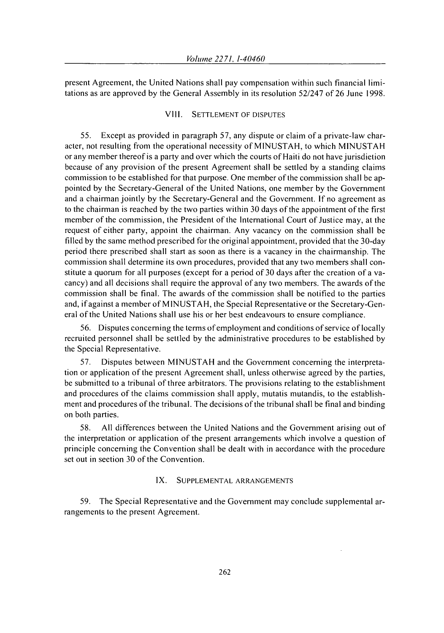present Agreement, the United Nations shall pay compensation within such financial limitations as are approved by the General Assembly in its resolution 52/247 of 26 June 1998.

#### Vill. SETTLEMENT OF DISPUTES

55. Except as provided in paragraph 57, any dispute or claim of a private-law character, not resulting from the operational necessity of MINUSTAH, to which MINUSTAH or any member thereof is a party and over which the courts of Haiti do not have jurisdiction because of any provision of the present Agreement shall be settled by a standing claims commission to be established for that purpose. One member of the commission shall be appointed by the Secretary-General of the United Nations, one member by the Government and a chairman jointly by the Secretary-General and the Government. If no agreement as to the chairman is reached by the two parties within 30 days of the appointment of the first member of the commission, the President of the International Court of Justice may, at the request of either party, appoint the chairman. Any vacancy on the commission shall be filled by the same method prescribed for the original appointment, provided that the 30-day period there prescribed shall start as soon as there is a vacancy in the chairmanship. The commission shall determine its own procedures, provided that any two members shall constitute a quorum for all purposes (except for a period of 30 days after the creation of a vacancy) and all decisions shall require the approval of any two members. The awards of the commission shall be final. The awards of the commission shall be notified to the parties and, if against a member of MINUSTAH, the Special Representative or the Secretary-General of the United Nations shall use his or her best endeavours to ensure compliance.

56. Disputes concerning the terms of employment and conditions of service of locally recruited personnel shall be settled by the administrative procedures to be established by the Special Representative.

57. Disputes between MINUSTAH and the Government concerning the interpretation or application of the present Agreement shall, unless otherwise agreed by the parties, be submitted to a tribunal of three arbitrators. The provisions relating to the establishment and procedures of the claims commission shall apply, mutatis mutandis, to the establishment and procedures of the tribunal. The decisions of the tribunal shall be final and binding on both parties.

58. All differences between the United Nations and the Government arising out of the interpretation or application of the present arrangements which involve a question of principle concerning the Convention shall be dealt with in accordance with the procedure set out in section 30 of the Convention.

## IX. SUPPLEMENTAL ARRANGEMENTS

59. The Special Representative and the Government may conclude supplemental arrangements to the present Agreement.